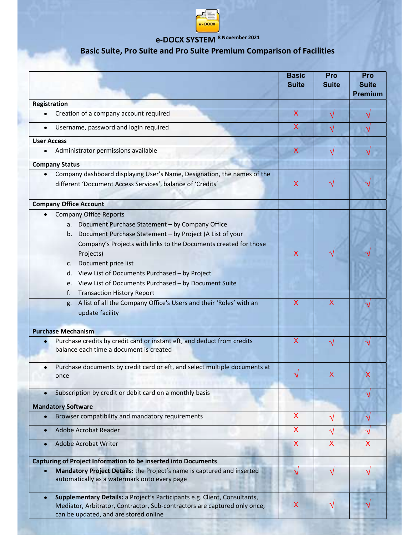

## e-DOCX SYSTEM 8 November 2021

## Basic Suite, Pro Suite and Pro Suite Premium Comparison of Facilities

|                                                                                                                                                                                                                                 | <b>Basic</b><br><b>Suite</b> | Pro<br><b>Suite</b>     | Pro<br><b>Suite</b><br><b>Premium</b> |
|---------------------------------------------------------------------------------------------------------------------------------------------------------------------------------------------------------------------------------|------------------------------|-------------------------|---------------------------------------|
| Registration                                                                                                                                                                                                                    |                              |                         |                                       |
| Creation of a company account required                                                                                                                                                                                          | $\overline{\mathsf{X}}$      |                         |                                       |
| Username, password and login required                                                                                                                                                                                           | X                            |                         |                                       |
| <b>User Access</b>                                                                                                                                                                                                              |                              |                         |                                       |
| Administrator permissions available<br>$\bullet$                                                                                                                                                                                | $\mathsf{X}$                 |                         |                                       |
| <b>Company Status</b>                                                                                                                                                                                                           |                              |                         |                                       |
| Company dashboard displaying User's Name, Designation, the names of the<br>$\bullet$<br>different 'Document Access Services', balance of 'Credits'                                                                              | $\mathsf{X}$                 |                         |                                       |
| <b>Company Office Account</b>                                                                                                                                                                                                   |                              |                         |                                       |
| <b>Company Office Reports</b>                                                                                                                                                                                                   |                              |                         |                                       |
| a. Document Purchase Statement - by Company Office<br>b. Document Purchase Statement - by Project (A List of your<br>Company's Projects with links to the Documents created for those<br>Projects)<br>Document price list<br>c. | X                            |                         |                                       |
| d. View List of Documents Purchased - by Project<br>View List of Documents Purchased - by Document Suite<br>e.<br>f.<br><b>Transaction History Report</b>                                                                       |                              |                         |                                       |
| g. A list of all the Company Office's Users and their 'Roles' with an<br>update facility                                                                                                                                        | $\overline{\mathsf{X}}$      | $\overline{\mathsf{X}}$ |                                       |
| <b>Purchase Mechanism</b>                                                                                                                                                                                                       |                              |                         |                                       |
| Purchase credits by credit card or instant eft, and deduct from credits<br>balance each time a document is created                                                                                                              | $\mathsf{X}$                 |                         |                                       |
| Purchase documents by credit card or eft, and select multiple documents at<br>once                                                                                                                                              |                              | х                       | х                                     |
| Subscription by credit or debit card on a monthly basis                                                                                                                                                                         |                              |                         |                                       |
| <b>Mandatory Software</b>                                                                                                                                                                                                       |                              |                         |                                       |
| Browser compatibility and mandatory requirements                                                                                                                                                                                | X                            | N                       | N                                     |
| Adobe Acrobat Reader                                                                                                                                                                                                            | X                            |                         |                                       |
| <b>Adobe Acrobat Writer</b>                                                                                                                                                                                                     | X                            | $\overline{\mathsf{X}}$ | $\boldsymbol{\mathsf{X}}$             |
| Capturing of Project Information to be inserted into Documents                                                                                                                                                                  |                              |                         |                                       |
| Mandatory Project Details: the Project's name is captured and inserted<br>automatically as a watermark onto every page                                                                                                          |                              |                         |                                       |
| Supplementary Details: a Project's Participants e.g. Client, Consultants,<br>$\bullet$<br>Mediator, Arbitrator, Contractor, Sub-contractors are captured only once,<br>can be updated, and are stored online                    | X                            |                         |                                       |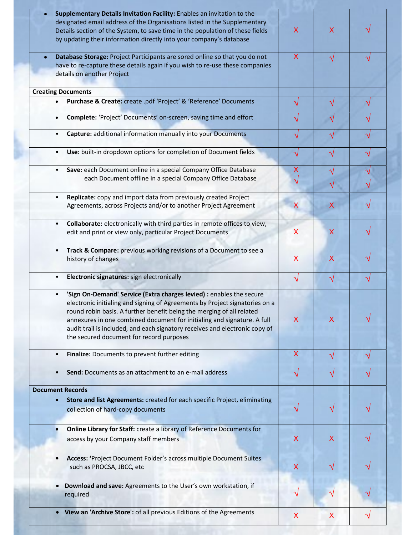| $\bullet$                            |                                                                                                                                                                                                                                                                                                                                                                                                                                    |                           |   |  |
|--------------------------------------|------------------------------------------------------------------------------------------------------------------------------------------------------------------------------------------------------------------------------------------------------------------------------------------------------------------------------------------------------------------------------------------------------------------------------------|---------------------------|---|--|
|                                      | Supplementary Details Invitation Facility: Enables an invitation to the<br>designated email address of the Organisations listed in the Supplementary<br>Details section of the System, to save time in the population of these fields<br>by updating their information directly into your company's database                                                                                                                       | $\mathsf{X}$              | X |  |
| $\bullet$                            | Database Storage: Project Participants are sored online so that you do not<br>have to re-capture these details again if you wish to re-use these companies<br>details on another Project                                                                                                                                                                                                                                           | $\boldsymbol{\mathsf{X}}$ |   |  |
| <b>Creating Documents</b>            |                                                                                                                                                                                                                                                                                                                                                                                                                                    |                           |   |  |
| $\bullet$                            | Purchase & Create: create .pdf 'Project' & 'Reference' Documents                                                                                                                                                                                                                                                                                                                                                                   |                           |   |  |
| $\bullet$                            | Complete: 'Project' Documents' on-screen, saving time and effort                                                                                                                                                                                                                                                                                                                                                                   |                           |   |  |
| $\bullet$                            | Capture: additional information manually into your Documents                                                                                                                                                                                                                                                                                                                                                                       |                           |   |  |
| $\bullet$                            | Use: built-in dropdown options for completion of Document fields                                                                                                                                                                                                                                                                                                                                                                   |                           |   |  |
| $\bullet$                            | Save: each Document online in a special Company Office Database                                                                                                                                                                                                                                                                                                                                                                    |                           |   |  |
|                                      | each Document offline in a special Company Office Database                                                                                                                                                                                                                                                                                                                                                                         |                           |   |  |
| $\bullet$                            | Replicate: copy and import data from previously created Project                                                                                                                                                                                                                                                                                                                                                                    |                           |   |  |
|                                      | Agreements, across Projects and/or to another Project Agreement                                                                                                                                                                                                                                                                                                                                                                    | X                         |   |  |
|                                      | Collaborate: electronically with third parties in remote offices to view,<br>edit and print or view only, particular Project Documents                                                                                                                                                                                                                                                                                             | $\boldsymbol{\mathsf{X}}$ | X |  |
|                                      | Track & Compare: previous working revisions of a Document to see a<br>history of changes                                                                                                                                                                                                                                                                                                                                           | $\boldsymbol{\mathsf{X}}$ | X |  |
|                                      | Electronic signatures: sign electronically                                                                                                                                                                                                                                                                                                                                                                                         | V                         |   |  |
|                                      | 'Sign On-Demand' Service (Extra charges levied) : enables the secure<br>electronic initialing and signing of Agreements by Project signatories on a<br>round robin basis. A further benefit being the merging of all related<br>annexures in one combined document for initialing and signature. A full<br>audit trail is included, and each signatory receives and electronic copy of<br>the secured document for record purposes | X                         | X |  |
| $\bullet$                            | Finalize: Documents to prevent further editing                                                                                                                                                                                                                                                                                                                                                                                     | X                         |   |  |
|                                      | Send: Documents as an attachment to an e-mail address                                                                                                                                                                                                                                                                                                                                                                              |                           |   |  |
|                                      |                                                                                                                                                                                                                                                                                                                                                                                                                                    |                           |   |  |
|                                      |                                                                                                                                                                                                                                                                                                                                                                                                                                    |                           |   |  |
| <b>Document Records</b><br>$\bullet$ | Store and list Agreements: created for each specific Project, eliminating<br>collection of hard-copy documents                                                                                                                                                                                                                                                                                                                     |                           |   |  |
|                                      | Online Library for Staff: create a library of Reference Documents for<br>access by your Company staff members                                                                                                                                                                                                                                                                                                                      | X                         | X |  |
|                                      | Access: 'Project Document Folder's across multiple Document Suites<br>such as PROCSA, JBCC, etc                                                                                                                                                                                                                                                                                                                                    | $\boldsymbol{\mathsf{X}}$ |   |  |
| $\bullet$                            | Download and save: Agreements to the User's own workstation, if<br>required                                                                                                                                                                                                                                                                                                                                                        |                           |   |  |